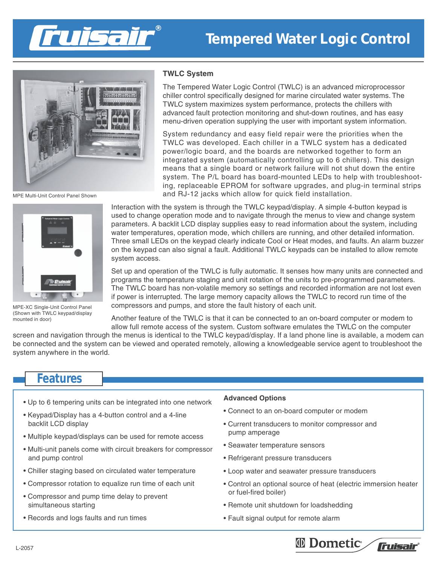



MPE Multi-Unit Control Panel Shown



MPE-XC Single-Unit Control Panel (Shown with TWLC keypad/display mounted in door)

#### **TWLC System**

The Tempered Water Logic Control (TWLC) is an advanced microprocessor chiller control specifically designed for marine circulated water systems. The TWLC system maximizes system performance, protects the chillers with advanced fault protection monitoring and shut-down routines, and has easy menu-driven operation supplying the user with important system information.

System redundancy and easy field repair were the priorities when the TWLC was developed. Each chiller in a TWLC system has a dedicated power/logic board, and the boards are networked together to form an integrated system (automatically controlling up to 6 chillers). This design means that a single board or network failure will not shut down the entire system. The P/L board has board-mounted LEDs to help with troubleshooting, replaceable EPROM for software upgrades, and plug-in terminal strips and RJ-12 jacks which allow for quick field installation.

Interaction with the system is through the TWLC keypad/display. A simple 4-button keypad is used to change operation mode and to navigate through the menus to view and change system parameters. A backlit LCD display supplies easy to read information about the system, including water temperatures, operation mode, which chillers are running, and other detailed information. Three small LEDs on the keypad clearly indicate Cool or Heat modes, and faults. An alarm buzzer on the keypad can also signal a fault. Additional TWLC keypads can be installed to allow remote system access.

Set up and operation of the TWLC is fully automatic. It senses how many units are connected and programs the temperature staging and unit rotation of the units to pre-programmed parameters. The TWLC board has non-volatile memory so settings and recorded information are not lost even if power is interrupted. The large memory capacity allows the TWLC to record run time of the compressors and pumps, and store the fault history of each unit.

Another feature of the TWLC is that it can be connected to an on-board computer or modem to allow full remote access of the system. Custom software emulates the TWLC on the computer

screen and navigation through the menus is identical to the TWLC keypad/display. If a land phone line is available, a modem can be connected and the system can be viewed and operated remotely, allowing a knowledgeable service agent to troubleshoot the system anywhere in the world.

# **Features**

- Up to 6 tempering units can be integrated into one network
- Keypad/Display has a 4-button control and a 4-line backlit LCD display
- Multiple keypad/displays can be used for remote access
- Multi-unit panels come with circuit breakers for compressor and pump control
- Chiller staging based on circulated water temperature
- Compressor rotation to equalize run time of each unit
- Compressor and pump time delay to prevent simultaneous starting
- Records and logs faults and run times

### **Advanced Options**

- Connect to an on-board computer or modem
- Current transducers to monitor compressor and pump amperage
- Seawater temperature sensors
- Refrigerant pressure transducers
- Loop water and seawater pressure transducers
- Control an optional source of heat (electric immersion heater or fuel-fired boiler)
- Remote unit shutdown for loadshedding
- Fault signal output for remote alarm

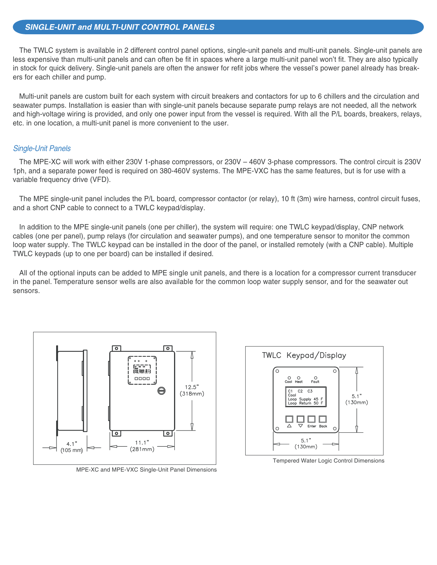## **SINGLE-UNIT and MULTI-UNIT CONTROL PANELS**

The TWLC system is available in 2 different control panel options, single-unit panels and multi-unit panels. Single-unit panels are less expensive than multi-unit panels and can often be fit in spaces where a large multi-unit panel won't fit. They are also typically in stock for quick delivery. Single-unit panels are often the answer for refit jobs where the vessel's power panel already has breakers for each chiller and pump.

Multi-unit panels are custom built for each system with circuit breakers and contactors for up to 6 chillers and the circulation and seawater pumps. Installation is easier than with single-unit panels because separate pump relays are not needed, all the network and high-voltage wiring is provided, and only one power input from the vessel is required. With all the P/L boards, breakers, relays, etc. in one location, a multi-unit panel is more convenient to the user.

## Single-Unit Panels

The MPE-XC will work with either 230V 1-phase compressors, or 230V – 460V 3-phase compressors. The control circuit is 230V 1ph, and a separate power feed is required on 380-460V systems. The MPE-VXC has the same features, but is for use with a variable frequency drive (VFD).

The MPE single-unit panel includes the P/L board, compressor contactor (or relay), 10 ft (3m) wire harness, control circuit fuses, and a short CNP cable to connect to a TWLC keypad/display.

In addition to the MPE single-unit panels (one per chiller), the system will require: one TWLC keypad/display, CNP network cables (one per panel), pump relays (for circulation and seawater pumps), and one temperature sensor to monitor the common loop water supply. The TWLC keypad can be installed in the door of the panel, or installed remotely (with a CNP cable). Multiple TWLC keypads (up to one per board) can be installed if desired.

All of the optional inputs can be added to MPE single unit panels, and there is a location for a compressor current transducer in the panel. Temperature sensor wells are also available for the common loop water supply sensor, and for the seawater out sensors.



MPE-XC and MPE-VXC Single-Unit Panel Dimensions



Tempered Water Logic Control Dimensions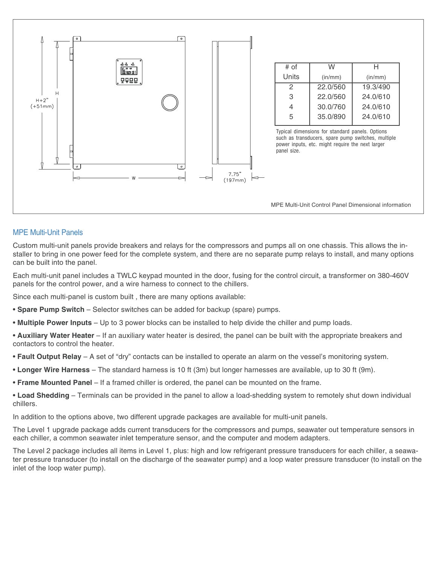

# MPE Multi-Unit Panels

Custom multi-unit panels provide breakers and relays for the compressors and pumps all on one chassis. This allows the installer to bring in one power feed for the complete system, and there are no separate pump relays to install, and many options can be built into the panel.

Each multi-unit panel includes a TWLC keypad mounted in the door, fusing for the control circuit, a transformer on 380-460V panels for the control power, and a wire harness to connect to the chillers.

Since each multi-panel is custom built , there are many options available:

- **Spare Pump Switch** Selector switches can be added for backup (spare) pumps.
- **Multiple Power Inputs** Up to 3 power blocks can be installed to help divide the chiller and pump loads.
- **Auxiliary Water Heater**  If an auxiliary water heater is desired, the panel can be built with the appropriate breakers and contactors to control the heater.
- **Fault Output Relay** A set of "dry" contacts can be installed to operate an alarm on the vessel's monitoring system.
- **Longer Wire Harness** The standard harness is 10 ft (3m) but longer harnesses are available, up to 30 ft (9m).
- **Frame Mounted Panel** If a framed chiller is ordered, the panel can be mounted on the frame.

• **Load Shedding** – Terminals can be provided in the panel to allow a load-shedding system to remotely shut down individual chillers.

In addition to the options above, two different upgrade packages are available for multi-unit panels.

The Level 1 upgrade package adds current transducers for the compressors and pumps, seawater out temperature sensors in each chiller, a common seawater inlet temperature sensor, and the computer and modem adapters.

The Level 2 package includes all items in Level 1, plus: high and low refrigerant pressure transducers for each chiller, a seawater pressure transducer (to install on the discharge of the seawater pump) and a loop water pressure transducer (to install on the inlet of the loop water pump).